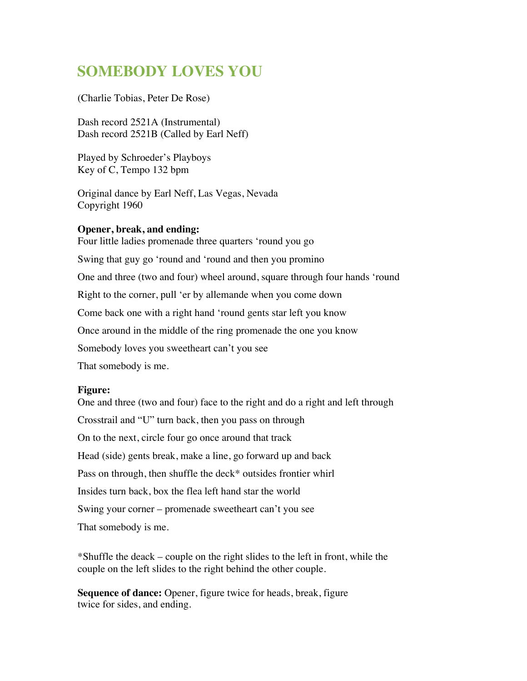## **SOMEBODY LOVES YOU**

(Charlie Tobias, Peter De Rose)

Dash record 2521A (Instrumental) Dash record 2521B (Called by Earl Neff)

Played by Schroeder's Playboys Key of C, Tempo 132 bpm

Original dance by Earl Neff, Las Vegas, Nevada Copyright 1960

## **Opener, break, and ending:**

Four little ladies promenade three quarters 'round you go Swing that guy go 'round and 'round and then you promino One and three (two and four) wheel around, square through four hands 'round Right to the corner, pull 'er by allemande when you come down Come back one with a right hand 'round gents star left you know Once around in the middle of the ring promenade the one you know Somebody loves you sweetheart can't you see That somebody is me.

## **Figure:**

One and three (two and four) face to the right and do a right and left through Crosstrail and "U" turn back, then you pass on through On to the next, circle four go once around that track Head (side) gents break, make a line, go forward up and back Pass on through, then shuffle the deck\* outsides frontier whirl Insides turn back, box the flea left hand star the world Swing your corner – promenade sweetheart can't you see That somebody is me.

\*Shuffle the deack – couple on the right slides to the left in front, while the couple on the left slides to the right behind the other couple.

**Sequence of dance:** Opener, figure twice for heads, break, figure twice for sides, and ending.